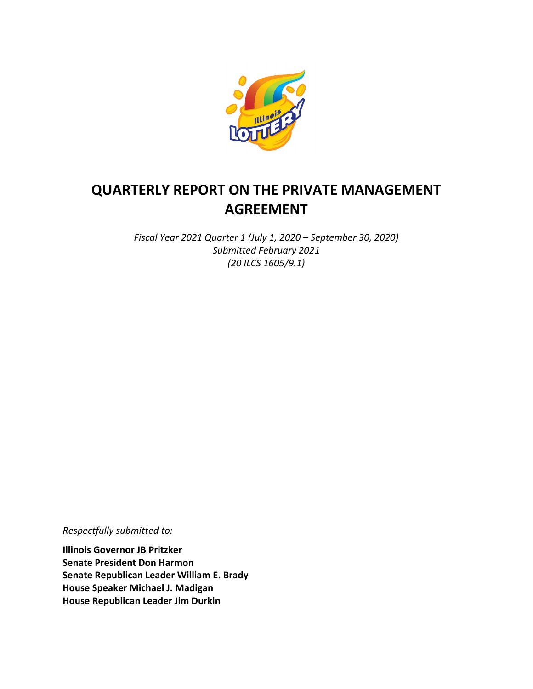

# **QUARTERLY REPORT ON THE PRIVATE MANAGEMENT AGREEMENT**

*Fiscal Year 2021 Quarter 1 (July 1, 2020 – September 30, 2020) Submitted February 2021 (20 ILCS 1605/9.1)*

*Respectfully submitted to:* 

**Illinois Governor JB Pritzker Senate President Don Harmon Senate Republican Leader William E. Brady House Speaker Michael J. Madigan House Republican Leader Jim Durkin**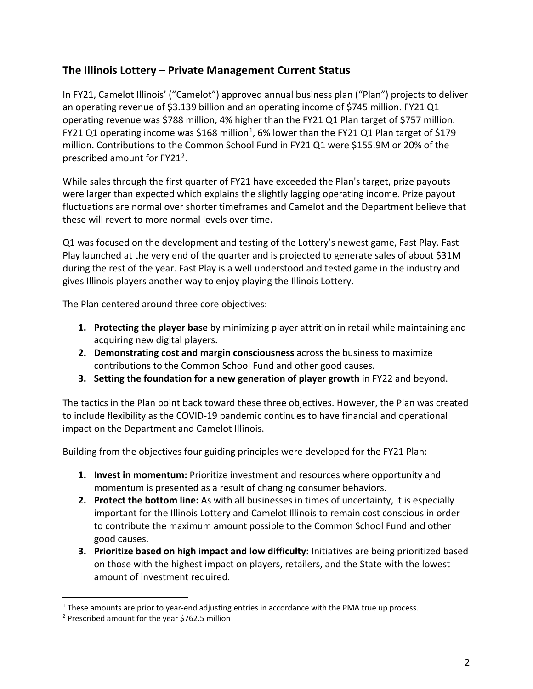# **The Illinois Lottery – Private Management Current Status**

In FY21, Camelot Illinois' ("Camelot") approved annual business plan ("Plan") projects to deliver an operating revenue of \$3.139 billion and an operating income of \$745 million. FY21 Q1 operating revenue was \$788 million, 4% higher than the FY21 Q1 Plan target of \$757 million. FY2[1](#page-1-0) Q1 operating income was \$168 million<sup>1</sup>, 6% lower than the FY21 Q1 Plan target of \$179 million. Contributions to the Common School Fund in FY21 Q1 were \$155.9M or 20% of the prescribed amount for FY[2](#page-1-1)1<sup>2</sup>.

While sales through the first quarter of FY21 have exceeded the Plan's target, prize payouts were larger than expected which explains the slightly lagging operating income. Prize payout fluctuations are normal over shorter timeframes and Camelot and the Department believe that these will revert to more normal levels over time.

Q1 was focused on the development and testing of the Lottery's newest game, Fast Play. Fast Play launched at the very end of the quarter and is projected to generate sales of about \$31M during the rest of the year. Fast Play is a well understood and tested game in the industry and gives Illinois players another way to enjoy playing the Illinois Lottery.

The Plan centered around three core objectives:

- **1. Protecting the player base** by minimizing player attrition in retail while maintaining and acquiring new digital players.
- **2. Demonstrating cost and margin consciousness** across the business to maximize contributions to the Common School Fund and other good causes.
- **3. Setting the foundation for a new generation of player growth** in FY22 and beyond.

The tactics in the Plan point back toward these three objectives. However, the Plan was created to include flexibility as the COVID-19 pandemic continues to have financial and operational impact on the Department and Camelot Illinois.

Building from the objectives four guiding principles were developed for the FY21 Plan:

- **1. Invest in momentum:** Prioritize investment and resources where opportunity and momentum is presented as a result of changing consumer behaviors.
- **2. Protect the bottom line:** As with all businesses in times of uncertainty, it is especially important for the Illinois Lottery and Camelot Illinois to remain cost conscious in order to contribute the maximum amount possible to the Common School Fund and other good causes.
- **3. Prioritize based on high impact and low difficulty:** Initiatives are being prioritized based on those with the highest impact on players, retailers, and the State with the lowest amount of investment required.

<span id="page-1-0"></span> $1$  These amounts are prior to year-end adjusting entries in accordance with the PMA true up process.

<span id="page-1-1"></span><sup>2</sup> Prescribed amount for the year \$762.5 million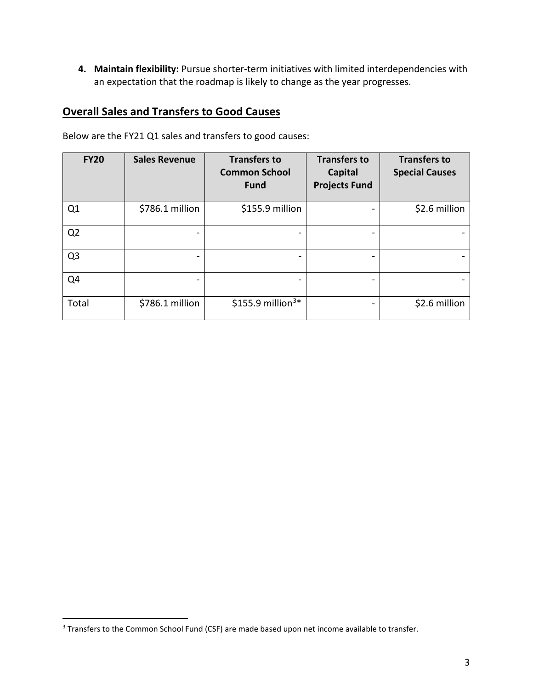**4. Maintain flexibility:** Pursue shorter-term initiatives with limited interdependencies with an expectation that the roadmap is likely to change as the year progresses.

# **Overall Sales and Transfers to Good Causes**

| <b>FY20</b>    | <b>Sales Revenue</b> | <b>Transfers to</b><br><b>Common School</b><br><b>Fund</b> | <b>Transfers to</b><br>Capital<br><b>Projects Fund</b> | <b>Transfers to</b><br><b>Special Causes</b> |
|----------------|----------------------|------------------------------------------------------------|--------------------------------------------------------|----------------------------------------------|
| Q1             | \$786.1 million      | \$155.9 million                                            |                                                        | \$2.6 million                                |
| Q <sub>2</sub> |                      |                                                            |                                                        |                                              |
| Q <sub>3</sub> |                      |                                                            |                                                        |                                              |
| Q4             | -                    |                                                            |                                                        |                                              |
| Total          | \$786.1 million      | \$155.9 million <sup>3*</sup>                              |                                                        | \$2.6 million                                |

Below are the FY21 Q1 sales and transfers to good causes:

<span id="page-2-0"></span><sup>&</sup>lt;sup>3</sup> Transfers to the Common School Fund (CSF) are made based upon net income available to transfer.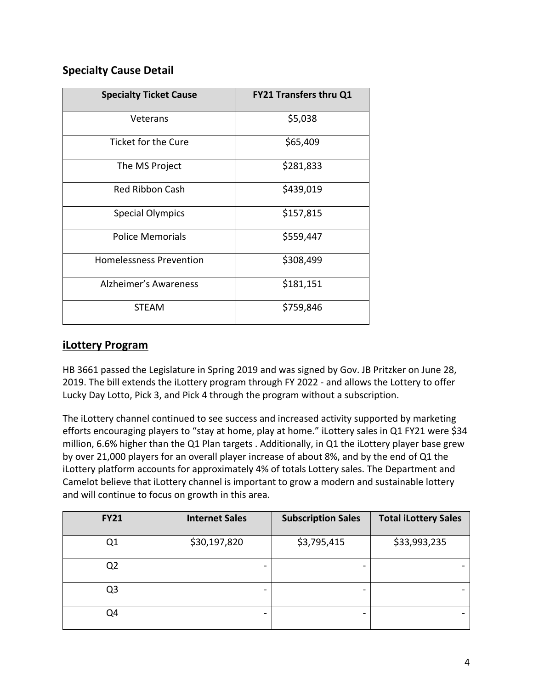# **Specialty Cause Detail**

| <b>Specialty Ticket Cause</b>  | <b>FY21 Transfers thru Q1</b> |
|--------------------------------|-------------------------------|
| Veterans                       | \$5,038                       |
| <b>Ticket for the Cure</b>     | \$65,409                      |
| The MS Project                 | \$281,833                     |
| Red Ribbon Cash                | \$439,019                     |
| <b>Special Olympics</b>        | \$157,815                     |
| <b>Police Memorials</b>        | \$559,447                     |
| <b>Homelessness Prevention</b> | \$308,499                     |
| <b>Alzheimer's Awareness</b>   | \$181,151                     |
| <b>STEAM</b>                   | \$759,846                     |

#### **iLottery Program**

HB 3661 passed the Legislature in Spring 2019 and was signed by Gov. JB Pritzker on June 28, 2019. The bill extends the iLottery program through FY 2022 - and allows the Lottery to offer Lucky Day Lotto, Pick 3, and Pick 4 through the program without a subscription.

The iLottery channel continued to see success and increased activity supported by marketing efforts encouraging players to "stay at home, play at home." iLottery sales in Q1 FY21 were \$34 million, 6.6% higher than the Q1 Plan targets . Additionally, in Q1 the iLottery player base grew by over 21,000 players for an overall player increase of about 8%, and by the end of Q1 the iLottery platform accounts for approximately 4% of totals Lottery sales. The Department and Camelot believe that iLottery channel is important to grow a modern and sustainable lottery and will continue to focus on growth in this area.

| <b>FY21</b>    | <b>Internet Sales</b> | <b>Subscription Sales</b> | <b>Total iLottery Sales</b> |
|----------------|-----------------------|---------------------------|-----------------------------|
| Q1             | \$30,197,820          | \$3,795,415               | \$33,993,235                |
| Q <sub>2</sub> |                       |                           |                             |
| Q <sub>3</sub> |                       |                           |                             |
| Q4             |                       |                           |                             |